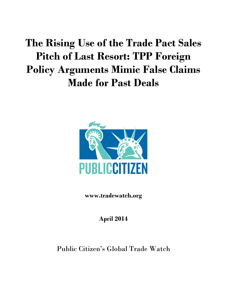# **The Rising Use of the Trade Pact Sales Pitch of Last Resort: TPP Foreign Policy Arguments Mimic False Claims Made for Past Deals**



**www.tradewatch.org**

**April 2014**

Public Citizen's Global Trade Watch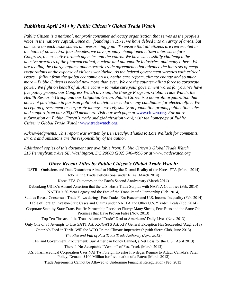#### *Published April 2014 by Public Citizen's Global Trade Watch*

*Public Citizen is a national, nonprofit consumer advocacy organization that serves as the people's voice in the nation's capital. Since our founding in 1971, we have delved into an array of areas, but our work on each issue shares an overarching goal: To ensure that all citizens are represented in the halls of power. For four decades, we have proudly championed citizen interests before Congress, the executive branch agencies and the courts. We have successfully challenged the abusive practices of the pharmaceutical, nuclear and automobile industries, and many others. We are leading the charge against undemocratic trade agreements that advance the interests of megacorporations at the expense of citizens worldwide. As the federal government wrestles with critical issues – fallout from the global economic crisis, health care reform, climate change and so much more – Public Citizen is needed now more than ever. We are the countervailing force to corporate power. We fight on behalf of all Americans – to make sure your government works for you. We have five policy groups: our Congress Watch division, the Energy Program, Global Trade Watch, the Health Research Group and our Litigation Group. Public Citizen is a nonprofit organization that does not participate in partisan political activities or endorse any candidates for elected office. We accept no government or corporate money – we rely solely on foundation grants, publication sales and support from our 300,000 members. Visit our web page at* [www.citizen.org](http://www.citizen.org/)*. For more information on Public Citizen's trade and globalization work, visit the homepage of Public Citizen's Global Trade Watch:* [www.tradewatch.org](http://www.tradewatch.org/)*.* 

*Acknowledgments: This report was written by Ben Beachy. Thanks to Lori Wallach for comments. Errors and omissions are the responsibility of the author.* 

*Additional copies of this document are available from: Public Citizen's Global Trade Watch 215 Pennsylvania Ave SE, Washington, DC 20003 (202) 546-4996 or at www.tradewatch.org*

#### *Other Recent Titles by Public Citizen's Global Trade Watch:*

| USTR's Omissions and Data Distortions Aimed at Hiding the Dismal Reality of the Korea FTA (March 2014)                                                                            |
|-----------------------------------------------------------------------------------------------------------------------------------------------------------------------------------|
| Job-Killing Trade Deficits Soar under FTAs (March 2014)                                                                                                                           |
| Korea FTA Outcomes on the Pact's Second Anniversary (March 2014)                                                                                                                  |
| Debunking USTR's Absurd Assertion that the U.S. Has a Trade Surplus with NAFTA Countries (Feb. 2014)                                                                              |
| NAFTA's 20-Year Legacy and the Fate of the Trans-Pacific Partnership (Feb. 2014)                                                                                                  |
| Studies Reveal Consensus: Trade Flows during "Free Trade" Era Exacerbated U.S. Income Inequality (Feb. 2014)                                                                      |
| Table of Foreign Investor-State Cases and Claims under NAFTA and Other U.S. "Trade" Deals (Feb. 2014)                                                                             |
| Corporate State-by-State Trans-Pacific Partnership Factsheet Flurry: Many Sheets, Few Facts and the Same Old<br>Promises that Have Proven False (Nov. 2013)                       |
| Top Ten Threats of the Trans-Atlantic "Trade" Deal to Americans' Daily Lives (Nov. 2013)                                                                                          |
| Only One of 35 Attempts to Use GATT Art. XX/GATS Art. XIV General Exception Has Succeeded (Aug. 2013)                                                                             |
| Ontario's Feed-in Tariff: Will the WTO Trump Climate Imperatives? (with Sierra Club, June 2013)                                                                                   |
| The Rise and Fall of Fast Track Trade Authority (April 2013)                                                                                                                      |
| TPP and Government Procurement: Buy American Policy Banned, a Net Loss for the U.S. (April 2013)                                                                                  |
| There Is No Acceptable "Version" of Fast Track (March 2013)                                                                                                                       |
| U.S. Pharmaceutical Corporation Uses NAFTA Foreign Investor Privileges Regime to Attack Canada's Patent<br>Policy, Demand \$100 Million for Invalidation of a Patent (March 2013) |
| Trade Agreements Cannot be Allowed to Undermine Financial Reregulation (Feb. 2013)                                                                                                |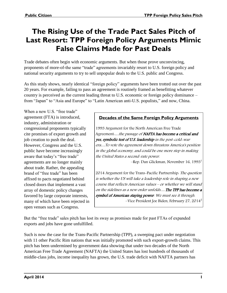## **The Rising Use of the Trade Pact Sales Pitch of Last Resort: TPP Foreign Policy Arguments Mimic False Claims Made for Past Deals**

Trade debates often begin with economic arguments. But when those prove unconvincing, proponents of more-of-the same "trade" agreements invariably resort to U.S. foreign policy and national security arguments to try to sell unpopular deals to the U.S. public and Congress.

As this study shows, nearly identical "foreign policy" arguments have been trotted out over the past 20 years. For example, failing to pass an agreement is routinely framed as benefitting whatever country is perceived as the current leading threat to U.S. economic or foreign policy dominance – from "Japan" to "Asia and Europe" to "Latin American anti-U.S. populists," and now, China.

When a new U.S. "free trade" agreement (FTA) is introduced, industry, administration or congressional proponents typically cite promises of export growth and job creation to push the deal. However, Congress and the U.S. public have become increasingly aware that today's "free trade" agreements are no longer mainly about trade. Rather, the appealing brand of "free trade" has been affixed to pacts negotiated behind closed doors that implement a vast array of domestic policy changes favored by large corporate interests, many of which have been rejected in open venues such as Congress.

#### **Decades of the Same Foreign Policy Arguments**

1993 Argument for the North American Free Trade Agreement....the passage of NAFTA has become a critical and yes, symbolic test of U.S. leadership in the post-cold-war era…To vote the agreement down threatens America's position in the global economy, and could be one more step in making the United States a second-rate power.

–Rep. Dan Glickman, November 16, 1993<sup>1</sup>

2014 Argument for the Trans-Pacific Partnership: The question is whether the US will take a leadership role in shaping a new course that reflects American values – or whether we will stand on the sidelines as a new order unfolds….The TPP has become a symbol of American staying power. We must see it through. –Vice President Joe Biden, February 27, 2014<sup>2</sup>

But the "free trade" sales pitch has lost its sway as promises made for past FTAs of expanded exports and jobs have gone unfulfilled.

Such is now the case for the Trans-Pacific Partnership (TPP), a sweeping pact under negotiation with 11 other Pacific Rim nations that was initially promoted with such export-growth claims. This pitch has been undermined by government data showing that under two decades of the North American Free Trade Agreement (NAFTA) the United States has lost hundreds of thousands of middle-class jobs, income inequality has grown, the U.S. trade deficit with NAFTA partners has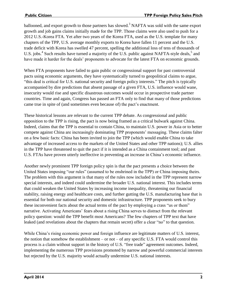ballooned, and export growth to those partners has slowed.<sup>3</sup> NAFTA was sold with the same export growth and job gains claims initially made for the TPP. Those claims were also used to push for a 2012 U.S.-Korea FTA. Yet after two years of the Korea FTA, used as the U.S. template for many chapters of the TPP, U.S. average monthly exports to Korea have fallen 11 percent and the U.S. trade deficit with Korea has swelled 47 percent, spelling the additional loss of tens of thousands of U.S. jobs.<sup>4</sup> Such results have turned a majority of the U.S. public against NAFTA-style deals,<sup>5</sup> and have made it harder for the deals' proponents to advocate for the latest FTA on economic grounds.

When FTA proponents have failed to gain public or congressional support for past controversial pacts using economic arguments, they have systematically turned to geopolitical claims to argue, "this deal is critical for U.S. national security and foreign policy interests." The pitch is typically accompanied by dire predictions that absent passage of a given FTA, U.S. influence would wane, insecurity would rise and specific disastrous outcomes would occur in prospective trade partner countries. Time and again, Congress has passed an FTA only to find that many of those predictions came true in spite of (and sometimes even because of) the pact's enactment.

These historical lessons are relevant to the current TPP debate. As congressional and public opposition to the TPP is rising, the pact is now being framed as a critical bulwark against China. Indeed, claims that the TPP is essential to contain China, to maintain U.S. power in Asia or to better compete against China are increasingly dominating TPP proponents' messaging. These claims falter on a few basic facts: China has been invited to join the TPP (which would enable China to take advantage of increased access to the markets of the United States and other TPP nations); U.S. allies in the TPP have threatened to quit the pact if it is intended as a China containment tool; and past U.S. FTAs have proven utterly ineffective in preventing an increase in China's economic influence.

Another newly prominent TPP foreign policy spin is that the pact presents a choice between the United States imposing "our rules" (assumed to be enshrined in the TPP) or China imposing theirs. The problem with this argument is that many of the rules now included in the TPP represent narrow special interests, and indeed could undermine the broader U.S. national interest. This includes terms that could weaken the United States by increasing income inequality, threatening our financial stability, raising energy and healthcare costs, and further gutting the U.S. manufacturing base that is essential for both our national security and domestic infrastructure. TPP proponents seek to bury these inconvenient facts about the actual terms of the pact by employing a crass "us or them" narrative. Activating Americans' fears about a rising China serves to distract from the relevant policy question: would the TPP benefit most Americans? The few chapters of TPP text that have leaked (and revelations about the chapters that remain secret) offer a clear "no" to that question.

While China's rising economic power and foreign influence are legitimate matters of U.S. interest, the notion that somehow the establishment – or not – of any specific U.S. FTA would control this process is a claim without support in the history of U.S. "free trade" agreement outcomes. Indeed, implementing the numerous TPP provisions promoted by narrow and powerful commercial interests but rejected by the U.S. majority would actually undermine U.S. national interests.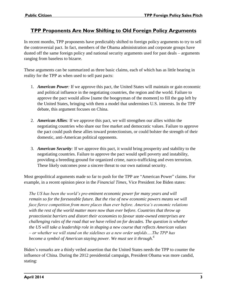#### **TPP Proponents Are Now Shifting to Old Foreign Policy Arguments**

In recent months, TPP proponents have predictably shifted to foreign policy arguments to try to sell the controversial pact. In fact, members of the Obama administration and corporate groups have dusted off the same foreign policy and national security arguments used for past deals – arguments ranging from baseless to bizarre.

These arguments can be summarized as three basic claims, each of which has as little bearing in reality for the TPP as when used to sell past pacts:

- 1. *American Power:* If we approve this pact, the United States will maintain or gain economic and political influence in the negotiating countries, the region and the world. Failure to approve the pact would allow [name the boogeyman of the moment] to fill the gap left by the United States, bringing with them a model that undermines U.S. interests. In the TPP debate, this argument focuses on China.
- 2. *American Allies:* If we approve this pact, we will strengthen our allies within the negotiating countries who share our free market and democratic values. Failure to approve the pact could push these allies toward protectionism, or could bolster the strength of their domestic, anti-American political opponents.
- 3. *American Security:* If we approve this pact, it would bring prosperity and stability to the negotiating countries. Failure to approve the pact would spell poverty and instability, providing a breeding ground for organized crime, narco-trafficking and even terrorism. These likely outcomes pose a sincere threat to our own national security.

Most geopolitical arguments made so far to push for the TPP are "American Power" claims. For example, in a recent opinion piece in the *Financial Times*, Vice President Joe Biden states:

*The US has been the world's pre-eminent economic power for many years and will remain so for the foreseeable future. But the rise of new economic powers means we will face fierce competition from more places than ever before. America's economic relations with the rest of the world matter more now than ever before. Countries that throw up protectionist barriers and distort their economies to favour state-owned enterprises are challenging rules of the road that we have relied on for decades. The question is whether the US will take a leadership role in shaping a new course that reflects American values – or whether we will stand on the sidelines as a new order unfolds….The TPP has become a symbol of American staying power. We must see it through.<sup>6</sup>*

Biden's remarks are a thinly veiled assertion that the United States needs the TPP to counter the influence of China. During the 2012 presidential campaign, President Obama was more candid, stating: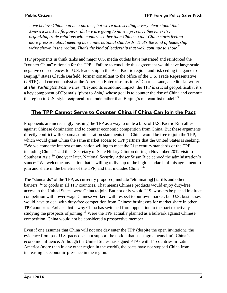*…we believe China can be a partner, but we're also sending a very clear signal that America is a Pacific power; that we are going to have a presence there…We're organizing trade relations with countries other than China so that China starts feeling more pressure about meeting basic international standards. That's the kind of leadership we've shown in the region. That's the kind of leadership that we'll continue to show.<sup>7</sup>*

TPP proponents in think tanks and major U.S. media outlets have reiterated and reinforced the "counter China" rationale for the TPP. "Failure to conclude this agreement would have large-scale negative consequences for U.S. leadership in the Asia Pacific region, and risk ceding the game to Beijing," states Claude Barfield, former consultant to the office of the U.S. Trade Representative (USTR) and current analyst at the American Enterprise Institute. <sup>8</sup> Charles Lane, an editorial writer at *The Washington Post*, writes, "Beyond its economic impact, the TPP is crucial geopolitically; it's a key component of Obama's 'pivot to Asia,' whose goal is to counter the rise of China and commit the region to U.S.-style reciprocal free trade rather than Beijing's mercantilist model."<sup>9</sup>

#### **The TPP Cannot Serve to Counter China if China Can Join the Pact**

Proponents are increasingly pushing the TPP as a way to unite a bloc of U.S. Pacific Rim allies against Chinese domination and to counter economic competition from China. But these arguments directly conflict with Obama administration statements that China would be free to join the TPP, which would grant China the same market access to TPP partners that the United States is seeking. "We welcome the interest of any nation willing to meet the 21st century standards of the TPP – including China," said then-Secretary of State Hillary Clinton during a November 2012 visit to Southeast Asia.<sup>10</sup> One year later, National Security Adviser Susan Rice echoed the administration's stance: "We welcome any nation that is willing to live up to the high-standards of this agreement to join and share in the benefits of the TPP, and that includes China."<sup>11</sup>

The "standards" of the TPP, as currently proposed, include "eliminating[] tariffs and other barriers"<sup>12</sup> to goods in all TPP countries. That means Chinese products would enjoy duty-free access in the United States, were China to join. But not only would U.S. workers be placed in direct competition with lower-wage Chinese workers with respect to our own market, but U.S. businesses would have to deal with duty-free competition from Chinese businesses for market share in other TPP countries. Perhaps that's why China has switched from opposition to the pact to actively studying the prospects of joining.<sup>13</sup> Were the TPP actually planned as a bulwark against Chinese competition, China would not be considered a prospective member.

Even if one assumes that China will not one day enter the TPP (despite the open invitation), the evidence from past U.S. pacts does not support the notion that such agreements limit China's economic influence. Although the United States has signed FTAs with 11 countries in Latin America (more than in any other region in the world), the pacts have not stopped China from increasing its economic presence in the region.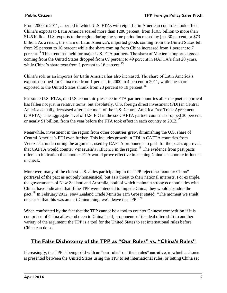From 2000 to 2011, a period in which U.S. FTAs with eight Latin American countries took effect, China's exports to Latin America soared more than 1280 percent, from \$10.5 billion to more than \$145 billion. U.S. exports to the region during the same period increased by just 30 percent, or \$73 billion. As a result, the share of Latin America's imported goods coming from the United States fell from 25 percent to 16 percent while the share coming from China increased from 1 percent to 7 percent.<sup>14</sup> This trend has held for major U.S. FTA partners. The share of Mexico's imported goods coming from the United States dropped from 69 percent to 49 percent in NAFTA's first 20 years, while China's share rose from 1 percent to 16 percent.<sup>15</sup>

China's role as an importer for Latin America has also increased. The share of Latin America's exports destined for China rose from 1 percent in 2000 to 4 percent in 2011, while the share exported to the United States shrank from 28 percent to 19 percent.<sup>16</sup>

For some U.S. FTAs, the U.S. economic presence in FTA partner countries after the pact's approval has fallen not just in relative terms, but absolutely. U.S. foreign direct investment (FDI) in Central America actually decreased after enactment of the U.S.-Central America Free Trade Agreement (CAFTA). The aggregate level of U.S. FDI in the six CAFTA partner countries dropped 30 percent, or nearly \$1 billion, from the year before the FTA took effect in each country to 2012.<sup>17</sup>

Meanwhile, investment in the region from other countries grew, diminishing the U.S. share of Central America's FDI even further. This includes growth in FDI in CAFTA countries from Venezuela, undercutting the argument, used by CAFTA proponents to push for the pact's approval, that CAFTA would counter Venezuela's influence in the region.<sup>18</sup> The evidence from past pacts offers no indication that another FTA would prove effective in keeping China's economic influence in check.

Moreover, many of the closest U.S. allies participating in the TPP reject the "counter China" portrayal of the pact as not only nonsensical, but as a threat to their national interests. For example, the governments of New Zealand and Australia, both of which maintain strong economic ties with China, have indicated that if the TPP were intended to impede China, they would abandon the pact.<sup>19</sup> In February 2012, New Zealand Trade Minister Tim Groser stated, "The moment we smelt or sensed that this was an anti-China thing, we'd leave the TPP."<sup>20</sup>

When confronted by the fact that the TPP cannot be a tool to counter Chinese competition if it is comprised of China allies and open to China itself, proponents of the deal often shift to another variety of the argument: the TPP is a tool for the United States to set international rules before China can do so.

#### **The False Dichotomy of the TPP as "Our Rules" vs. "China's Rules"**

Increasingly, the TPP is being sold with an "our rules" or "their rules" narrative, in which a choice is presented between the United States using the TPP to set international rules, or letting China set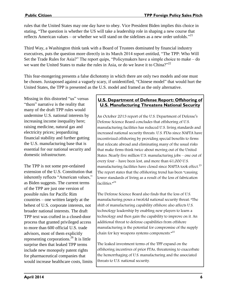rules that the United States may one day have to obey. Vice President Biden implies this choice in stating, "The question is whether the US will take a leadership role in shaping a new course that reflects American values – or whether we will stand on the sidelines as a new order unfolds."<sup>21</sup>

Third Way, a Washington think tank with a Board of Trustees dominated by financial industry executives, puts the question more directly in its March 2014 report entitled, "The TPP: Who Will Set the Trade Rules for Asia?" The report quips, "Policymakers have a simple choice to make – do we want the United States to make the rules in Asia, or do we leave it to China?"<sup>22</sup>

This fear-mongering presents a false dichotomy in which there are only two models and one must be chosen. Juxtaposed against a vaguely scary, if unidentified, "Chinese model" that would hurt the United States, the TPP is presented as the U.S. model and framed as the only alternative.

Missing in this distorted "us" versus "them" narrative is the reality that many of the draft TPP rules would undermine U.S. national interests by increasing income inequality here; raising medicine, natural gas and electricity prices; jeopardizing financial stability and further gutting the U.S. manufacturing base that is essential for our national security and domestic infrastructure.

The TPP is not some pre-ordained extension of the U.S. Constitution that inherently reflects "American values," as Biden suggests. The current terms of the TPP are just one version of possible rules for Pacific Rim countries – one written largely at the behest of U.S. corporate interests, not broader national interests. The draft TPP text was crafted in a closed-door process that granted privileged access to more than 600 official U.S. trade advisors, most of them explicitly representing corporations. $26$  It is little surprise then that leaked TPP terms include new monopoly patent rights for pharmaceutical companies that would increase healthcare costs, limits

#### **U.S. Department of Defense Report: Offshoring of U.S. Manufacturing Threatens National Security**

An October 2013 report of the U.S. Department of Defense's Defense Science Board concludes that offshoring of U.S. manufacturing facilities has reduced U.S. living standards and increased national security threats. U.S. FTAs since NAFTA have incentivized offshoring by providing special benefits to firms that relocate abroad and eliminating many of the usual risks that make firms think twice about moving out of the United States. Nearly five million U.S. manufacturing jobs – one out of every four – have been lost, and more than 61,000 U.S. manufacturing facilities have closed since NAFTA took effect. $^{23}$ The report states that the offshoring trend has been "causing lower standards of living as a result of the loss of fabrication facilities. $n^{24}$ 

The Defense Science Board also finds that the loss of U.S. manufacturing poses a twofold national security threat: "The shift of manufacturing capability offshore also affects U.S. technology leadership by enabling new players to learn a technology and then gain the capability to improve on it. An additional threat to defense capabilities from offshore manufacturing is the potential for compromise of the supply chain for key weapons systems components." $^{25}$ 

The leaked investment terms of the TPP expand on the offshoring incentives of prior FTAs, threatening to exacerbate the hemorrhaging of U.S. manufacturing and the associated threats to U.S. national security.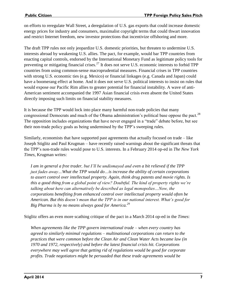on efforts to reregulate Wall Street, a deregulation of U.S. gas exports that could increase domestic energy prices for industry and consumers, maximalist copyright terms that could thwart innovation and restrict Internet freedom, new investor protections that incentivize offshoring and more.

The draft TPP rules not only jeopardize U.S. domestic priorities, but threaten to undermine U.S. interests abroad by weakening U.S. allies. The pact, for example, would bar TPP countries from enacting capital controls, endorsed by the International Monetary Fund as legitimate policy tools for preventing or mitigating financial crises.<sup>27</sup> It does not serve U.S. economic interests to forbid TPP countries from using common-sense macroprudential measures. Financial crises in TPP countries with strong U.S. economic ties (e.g. Mexico) or financial linkages (e.g. Canada and Japan) could have a boomerang effect at home. And it does not serve U.S. political interests to insist on rules that would expose our Pacific Rim allies to greater potential for financial instability. A wave of anti-American sentiment accompanied the 1997 Asian financial crisis even absent the United States directly imposing such limits on financial stability measures.

It is because the TPP would lock into place many harmful non-trade policies that many congressional Democrats and much of the Obama administration's political base oppose the pact.<sup>28</sup> The opposition includes organizations that have never engaged in a "trade" debate before, but see their non-trade policy goals as being undermined by the TPP's sweeping rules.

Similarly, economists that have supported past agreements that actually focused on trade – like Joseph Stiglitz and Paul Krugman – have recently raised warnings about the significant threats that the TPP's non-trade rules would pose to U.S. interests. In a February 2014 op-ed in *The New York Times*, Krugman writes:

*I am in general a free trader, but I'll be undismayed and even a bit relieved if the TPP just fades away…What the TPP would do…is increase the ability of certain corporations to assert control over intellectual property. Again, think drug patents and movie rights. Is this a good thing from a global point of view? Doubtful. The kind of property rights we're talking about here can alternatively be described as legal monopolies…Now, the corporations benefiting from enhanced control over intellectual property would often be American. But this doesn't mean that the TPP is in our national interest. What's good for Big Pharma is by no means always good for America.<sup>29</sup>*

Stiglitz offers an even more scathing critique of the pact in a March 2014 op-ed in the *Times*:

*When agreements like the TPP govern international trade – when every country has agreed to similarly minimal regulations – multinational corporations can return to the practices that were common before the Clean Air and Clean Water Acts became law (in 1970 and 1972, respectively) and before the latest financial crisis hit. Corporations everywhere may well agree that getting rid of regulations would be good for corporate profits. Trade negotiators might be persuaded that these trade agreements would be*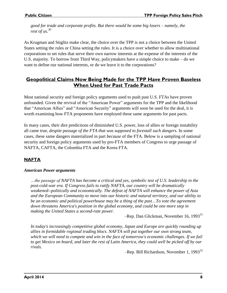*good for trade and corporate profits. But there would be some big losers – namely, the rest of us.<sup>30</sup>*

As Krugman and Stiglitz make clear, the choice over the TPP is not a choice between the United States setting the rules or China setting the rules. It is a choice over whether to allow multinational corporations to set rules that serve their own narrow interests at the expense of the interests of the U.S. majority. To borrow from Third Way, policymakers have a simple choice to make – do we want to define our national interests, or do we leave it to the corporations?

#### **Geopolitical Claims Now Being Made for the TPP Have Proven Baseless When Used for Past Trade Pacts**

Most national security and foreign policy arguments used to push past U.S. FTAs have proven unfounded. Given the revival of the "American Power" arguments for the TPP and the likelihood that "American Allies" and "American Security" arguments will soon be used for the deal, it is worth examining how FTA proponents have employed these same arguments for past pacts.

In many cases, their dire predictions of diminished U.S. power, loss of allies or foreign instability all came true, *despite passage of the FTA that was supposed to forestall such dangers.* In some cases, these same dangers materialized in part *because* of the FTA. Below is a sampling of national security and foreign policy arguments used by pro-FTA members of Congress to urge passage of NAFTA, CAFTA, the Colombia FTA and the Korea FTA.

#### **NAFTA**

#### *American Power arguments*

*…the passage of NAFTA has become a critical and yes, symbolic test of U.S. leadership in the post-cold-war era. If Congress fails to ratify NAFTA, our country will be dramatically weakened--politically and economically. The defeat of NAFTA will enhance the power of Asia and the European Community to move into our historic and natural territory, and our ability to be an economic and political powerhouse may be a thing of the past…To vote the agreement down threatens America's position in the global economy, and could be one more step in making the United States a second-rate power.*

-Rep. Dan Glickman, November 16, 1993<sup>31</sup>

*In today's increasingly competitive global economy, Japan and Europe are quickly rounding up allies in formidable regional trading blocs. NAFTA will put together our own strong team, which we will need to compete and win in the face of tomorrow's economic challenges. If we fail to get Mexico on board, and later the rest of Latin America, they could well be picked off by our rivals.*

–Rep. Bill Richardson, November 1, 1993 $^{32}$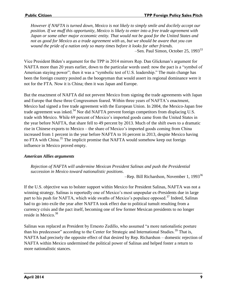*However if NAFTA is turned down, Mexico is not likely to simply smile and docilely accept our position. If we muff this opportunity, Mexico is likely to enter into a free trade agreement with Japan or some other major economic entity. That would not be good for the United States and not as good for Mexico as a trade agreement with us, but we should be aware that you can wound the pride of a nation only so many times before it looks for other friends.* –Sen. Paul Simon, October 25, 1993<sup>33</sup>

Vice President Biden's argument for the TPP in 2014 mirrors Rep. Dan Glickman's argument for NAFTA more than 20 years earlier, down to the particular words used: now the pact is a "symbol of American staying power"; then it was a "symbolic test of U.S. leadership." The main change has been the foreign country posited as the boogeyman that would assert its regional dominance were it not for the FTA. Now it is China; then it was Japan and Europe.

But the enactment of NAFTA did not prevent Mexico from signing the trade agreements with Japan and Europe that these three Congressmen feared. Within three years of NAFTA's enactment, Mexico had signed a free trade agreement with the European Union. In 2004, the Mexico-Japan free trade agreement was inked.<sup>34</sup> Nor did NAFTA prevent foreign competitors from displacing U.S. trade with Mexico. While 69 percent of Mexico's imported goods came from the United States in the year before NAFTA, that share fell to 49 percent by 2013. Much of the shift owes to a dramatic rise in Chinese exports to Mexico – the share of Mexico's imported goods coming from China increased from 1 percent in the year before NAFTA to 16 percent in 2013, despite Mexico having no FTA with China.<sup>35</sup> The implicit promise that NAFTA would somehow keep out foreign influence in Mexico proved empty.

#### *American Allies arguments*

*Rejection of NAFTA will undermine Mexican President Salinas and push the Presidential succession in Mexico toward nationalistic positions*.

–Rep. Bill Richardson, November 1, 1993<sup>36</sup>

If the U.S. objective was to bolster support within Mexico for President Salinas, NAFTA was not a winning strategy. Salinas is reportedly one of Mexico's most unpopular ex-Presidents due in large part to his push for NAFTA, which wide swaths of Mexico's populace opposed.<sup>37</sup> Indeed, Salinas had to go into exile the year after NAFTA took effect due to political tumult resulting from a currency crisis and the pact itself, becoming one of few former Mexican presidents to no longer reside in Mexico.<sup>38</sup>

Salinas was replaced as President by Ernesto Zedillo, who assumed "a more nationalistic posture than his predecessor" according to the Center for Strategic and International Studies.<sup>39</sup> That is, NAFTA had precisely the opposite effect of that desired by Rep. Richardson – domestic rejection of NAFTA within Mexico undermined the political power of Salinas and helped foster a return to more nationalistic stances.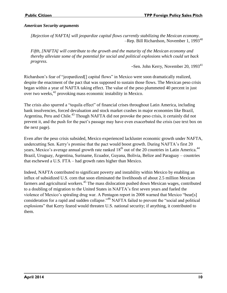#### *American Security arguments*

*[Rejection of NAFTA] will jeopardize capital flows currently stabilizing the Mexican economy.*  –Rep. Bill Richardson, November 1, 1993<sup>40</sup>

*Fifth, [NAFTA] will contribute to the growth and the maturity of the Mexican economy and thereby alleviate some of the potential for social and political explosions which could set back progress.*

–Sen. John Kerry, November 20, 1993<sup>41</sup>

Richardson's fear of "jeopardized<sup>[]</sup> capital flows" in Mexico were soon dramatically realized, despite the enactment of the pact that was supposed to sustain those flows. The Mexican peso crisis began within a year of NAFTA taking effect. The value of the peso plummeted 40 percent in just over two weeks,<sup>42</sup> provoking mass economic instability in Mexico.

The crisis also spurred a "tequila effect" of financial crises throughout Latin America, including bank insolvencies, forced devaluation and stock market crashes in major economies like Brazil, Argentina, Peru and Chile.<sup>43</sup> Though NAFTA did not provoke the peso crisis, it certainly did not prevent it, and the push for the pact's passage may have even exacerbated the crisis (see text box on the next page).

Even after the peso crisis subsided, Mexico experienced lackluster economic growth under NAFTA, undercutting Sen. Kerry's promise that the pact would boost growth. During NAFTA's first 20 years, Mexico's average annual growth rate ranked 18<sup>th</sup> out of the 20 countries in Latin America.<sup>44</sup> Brazil, Uruguay, Argentina, Suriname, Ecuador, Guyana, Bolivia, Belize and Paraguay – countries that eschewed a U.S. FTA – had growth rates higher than Mexico.

Indeed, NAFTA contributed to significant poverty and instability within Mexico by enabling an influx of subsidized U.S. corn that soon eliminated the livelihoods of about 2.5 million Mexican farmers and agricultural workers.<sup>45</sup> The mass dislocation pushed down Mexican wages, contributed to a doubling of migration to the United States in NAFTA's first seven years and fueled the violence of Mexico's spiraling drug war. A Pentagon report in 2008 warned that Mexico "bear[s] consideration for a rapid and sudden collapse."<sup>46</sup> NAFTA failed to prevent the "social and political explosions" that Kerry feared would threaten U.S. national security; if anything, it contributed to them.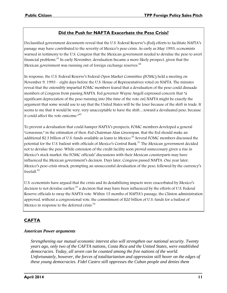#### **Did the Push for NAFTA Exacerbate the Peso Crisis?**

Declassified government documents reveal that the U.S. Federal Reserve's (Fed) efforts to facilitate NAFTA's passage may have contributed to the severity of Mexico's peso crisis. As early as May 1993, economists warned in testimony to the U.S. Congress that the Mexican government needed to devalue the peso to avert financial problems. <sup>47</sup> In early November, devaluation became a more likely prospect, given that the Mexican government was running out of foreign exchange reserves.<sup>48</sup>

In response, the U.S. Federal Reserve's Federal Open Market Committee (FOMC) held a meeting on November 9, 1993 – eight days before the U.S. House of Representatives voted on NAFTA. The minutes reveal that the ostensibly impartial FOMC members feared that a devaluation of the peso could dissuade members of Congress from passing NAFTA. Fed governor Wayne Angell expressed concern that "a significant depreciation of the peso running into [the time of the vote on] NAFTA might be exactly the argument that some would use to say that the United States will be the loser because of the shift in trade. It seems to me that it would be very, very unacceptable to have the shift…toward a devaluated peso, because it could affect the vote outcome. $n^{49}$ 

To prevent a devaluation that could hamper NAFTA's prospects, FOMC members developed a general "consensus," in the estimation of then-Fed Chairman Alan Greenspan, that the Fed should make an additional \$2.3 billion of U.S. funds available as loans to Mexico.<sup>50</sup> Several FOMC members discussed the potential for the U.S. bailout with officials of Mexico's Central Bank.<sup>51</sup> The Mexican government decided not to devalue the peso. While extension of the credit facility soon proved unnecessary given a rise in Mexico's stock market, the FOMC officials' discussions with their Mexican counterparts may have influenced the Mexican government's decision. Days later, Congress passed NAFTA. One year later, Mexico's peso crisis struck, prompting an unsuccessful devaluation of the peso, followed by the currency's freefall. 52

U.S. economists have argued that the crisis and its destabilizing impacts were exacerbated by Mexico's decision to not devalue earlier,<sup>53</sup> a decision that may have been influenced by the efforts of U.S. Federal Reserve officials to sway the NAFTA vote. Within 15 months of NAFTA's passage, the Clinton administration approved, without a congressional vote, the commitment of \$20 billion of U.S. funds for a bailout of Mexico in response to the deferred crisis.<sup>54</sup>

#### **CAFTA**

#### *American Power arguments*

*Strengthening our mutual economic interest also will strengthen our national security. Twenty years ago, only two of the CAFTA nations, Costa Rica and the United States, were established democracies. Today, all seven can be counted among the free nations of the world. Unfortunately, however, the forces of totalitarianism and oppression still hover on the edges of these young democracies. Fidel Castro still oppresses the Cuban people and denies them*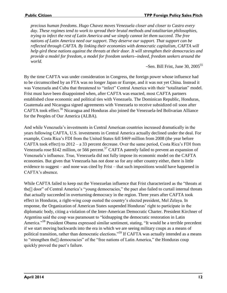*precious human freedoms. Hugo Chavez moves Venezuela closer and closer to Castro every day. These regimes tend to work to spread their brutal methods and totalitarian philosophies, trying to infect the rest of Latin America and we simply cannot let them succeed. The free nations of Latin America need our support. They deserve our support. That support can be reflected through CAFTA. By linking their economies with democratic capitalism, CAFTA will help gird these nations against the threats at their door. It will strengthen their democracies and provide a model for freedom, a model for freedom seekers--indeed, freedom seekers around the world.*

–Sen. Bill Frist, June 30,  $2005^{55}$ 

By the time CAFTA was under consideration in Congress, the foreign power whose influence had to be circumscribed by an FTA was no longer Japan or Europe, and it was not yet China. Instead it was Venezuela and Cuba that threatened to "infect" Central America with their "totalitarian" model. Frist must have been disappointed when, after CAFTA was enacted, most CAFTA partners established close economic and political ties with Venezuela. The Dominican Republic, Honduras, Guatemala and Nicaragua signed agreements with Venezuela to receive subsidized oil soon after CAFTA took effect.<sup>56</sup> Nicaragua and Honduras also joined the Venezuela-led Bolivarian Alliance for the Peoples of Our America (ALBA).

And while Venezuela's investments in Central American countries increased dramatically in the years following CAFTA, U.S. investments in Central America actually declined under the deal. For example, Costa Rica's FDI from the United States fell \$469 million from 2008 (the year before CAFTA took effect) to 2012 – a 33 percent decrease. Over the same period, Costa Rica's FDI from Venezuela rose \$142 million, or 566 percent.<sup>57</sup> CAFTA patently failed to prevent an expansion of Venezuela's influence. True, Venezuela did not fully impose its economic model on the CAFTA economies. But given that Venezuela has not done so for any other country either, there is little evidence to suggest – and none was cited by Frist – that such impositions would have happened in CAFTA's absence.

While CAFTA failed to keep out the Venezuelan influence that Frist characterized as the "threats at the[] door" of Central America's "young democracies," the pact also failed to curtail internal threats that actually succeeded in overturning democracy in the region. Three years after CAFTA took effect in Honduras, a right-wing coup ousted the country's elected president, Mel Zelaya. In response, the Organization of American States suspended Honduras' right to participate in the diplomatic body, citing a violation of the Inter-American Democratic Charter. President Kirchner of Argentina said the coup was paramount to "kidnapping the democratic restoration in Latin America."<sup>58</sup> President Obama expressed similar sentiment, stating, "It would be a terrible precedent if we start moving backwards into the era in which we are seeing military coups as a means of political transition, rather than democratic elections."<sup>59</sup> If CAFTA was actually intended as a means to "strengthen the[] democracies" of the "free nations of Latin America," the Honduras coup quickly proved the pact's failure.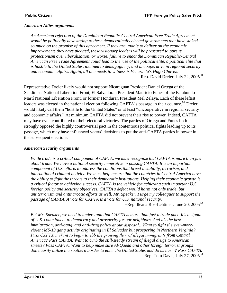#### *American Allies arguments*

*An American rejection of the Dominican Republic-Central American Free Trade Agreement would be politically devastating to these democratically elected governments that have staked so much on the promise of this agreement. If they are unable to deliver on the economic improvements they have pledged, these visionary leaders will be pressured to pursue protectionism over liberalization, or worse, failure to enact the Dominican Republic-Central American Free Trade Agreement could lead to the rise of the political elite, a political elite that is hostile to the United States, inclined to demagoguery, and uncooperative in regional security and economic affairs. Again, all one needs to witness is Venezuela's Hugo Chavez.* -Rep. David Dreier, July 22, 2005<sup>60</sup>

Representative Dreier likely would not support Nicaraguan President Daniel Ortega of the Sandinista National Liberation Front, El Salvadoran President Mauricio Funes of the Farabundo Martí National Liberation Front, or former Honduran President Mel Zelaya. Each of these leftist leaders was elected in the national election following CAFTA's passage in their country.<sup>61</sup> Dreier would likely call them "hostile to the United States" or at least "uncooperative in regional security and economic affairs." At minimum CAFTA did not prevent their rise to power. Indeed, CAFTA may have even contributed to their electoral victories. The parties of Ortega and Funes both strongly opposed the highly controversial pact in the contentious political fights leading up to its passage, which may have influenced voters' decisions to put the anti-CAFTA parties in power in the subsequent elections.

#### *American Security arguments*

*While trade is a critical component of CAFTA, we must recognize that CAFTA is more than just about trade. We have a national security imperative in passing CAFTA. It is an important component of U.S. efforts to address the conditions that breed instability, terrorism, and international criminal activity. We must help ensure that the countries in Central America have the ability to fight the threats to their democratic institutions. Helping their economic growth is a critical factor to achieving success. CAFTA is the vehicle for achieving such important U.S. foreign policy and security objectives. CAFTA's defeat would harm not only trade, but antiterrorism and antinarcotic efforts as well. Mr. Speaker, I urge my colleagues to support the passage of CAFTA. A vote for CAFTA is a vote for U.S. national security.*

–Rep. Ileana Ros-Lehtinen, June  $20$ ,  $2005^{62}$ 

*But Mr. Speaker, we need to understand that CAFTA is more than just a trade pact. It's a signal of U.S. commitment to democracy and prosperity for our neighbors. And it's the best immigration, anti-gang, and anti-drug policy at our disposal…Want to fight the ever-moreviolent MS-13 gang activity originating in El Salvador but prospering in Northern Virginia? Pass CAFTA …Want to begin to ebb the growing flow of illegal immigrants from Central America? Pass CAFTA. Want to curb the still-steady stream of illegal drugs to American streets? Pass CAFTA. Want to help make sure Al-Qaeda and other foreign terrorist groups don't easily utilize the southern border to enter the United States and do us harm? Pass CAFTA.* –Rep. Tom Davis, July 27,  $2005^{63}$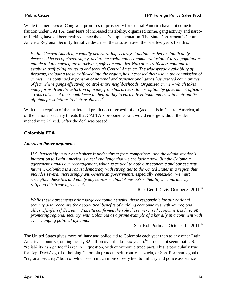While the members of Congress' promises of prosperity for Central America have not come to fruition under CAFTA, their fears of increased instability, organized crime, gang activity and narcotrafficking have all been realized since the deal's implementation. The State Department's Central America Regional Security Initiative described the situation over the past few years like this:

*Within Central America, a rapidly deteriorating security situation has led to significantly decreased levels of citizen safety, and to the social and economic exclusion of large populations unable to fully participate in thriving, safe communities. Narcotics traffickers continue to establish trafficking routes to and through Central America. The widespread availability of firearms, including those trafficked into the region, has increased their use in the commission of crimes. The continued expansion of national and transnational gangs has created communities of fear where gangs effectively control entire neighborhoods. Organized crime – which takes many forms, from the extortion of money from bus drivers, to corruption by government officials – robs citizens of their confidence in their ability to earn a livelihood and trust in their public officials for solutions to their problems.<sup>64</sup>*

With the exception of the far-fetched prediction of growth of al-Qaeda cells in Central America, all of the national security threats that CAFTA's proponents said would emerge without the deal indeed materialized…after the deal was passed.

#### **Colombia FTA**

#### *American Power arguments*

*U.S. leadership in our hemisphere is under threat from competitors, and the administration's inattention to Latin America is a real challenge that we are facing now. But the Colombia agreement signals our reengagement, which is critical to both our economic and our security future… Colombia is a robust democracy with strong ties to the United States in a region that includes several increasingly anti-American governments, especially Venezuela. We must strengthen these ties and pacify any concerns about America's reliability as a partner by ratifying this trade agreement.*

–Rep. Geoff Davis, October 3,  $2011^{65}$ 

*While these agreements bring large economic benefits, those responsible for our national security also recognize the geopolitical benefits of building economic ties with key regional allies…[Defense] Secretary Panetta confirmed the role these increased economic ties have on promoting regional security, with Colombia as a prime example of a key ally in a continent with ever changing political dynamic*.

 $-$ Sen. Rob Portman, October 12, 2011<sup>66</sup>

The United States gives more military and police aid to Colombia each year than to any other Latin American country (totaling nearly \$2 billion over the last six years).<sup>67</sup> It does not seem that U.S. "reliability as a partner" is really in question, with or without a trade pact. This is particularly true for Rep. Davis's goal of helping Colombia protect itself from Venezuela, or Sen. Portman's goal of "regional security," both of which seem much more closely tied to military and police assistance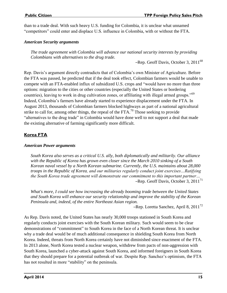than to a trade deal. With such heavy U.S. funding for Colombia, it is unclear what unnamed "competitors" could enter and displace U.S. influence in Colombia, with or without the FTA.

#### *American Security arguments*

*The trade agreement with Colombia will advance our national security interests by providing Colombians with alternatives to the drug trade.*

–Rep. Geoff Davis, October 3,  $2011^{68}$ 

Rep. Davis's argument directly contradicts that of Colombia's own Minister of Agriculture. Before the FTA was passed, he predicted that if the deal took effect, Colombian farmers would be unable to compete with an FTA-enabled influx of subsidized U.S. crops and "would have no more than three options: migration to the cities or other countries (especially the United States or bordering countries), leaving to work in drug cultivation zones, or affiliating with illegal armed groups."<sup>69</sup> Indeed, Colombia's farmers have already started to experience displacement under the FTA. In August 2013, thousands of Colombian farmers blocked highways as part of a national agricultural strike to call for, among other things, the repeal of the FTA.<sup>70</sup> Those seeking to provide "alternatives to the drug trade" in Colombia would have done well to not support a deal that made the existing alternative of farming significantly more difficult.

#### **Korea FTA**

#### *American Power arguments*

*South Korea also serves as a critical U.S. ally, both diplomatically and militarily. Our alliance with the Republic of Korea has grown even closer since the March 2010 sinking of a South Korean naval vessel by a North Korean submarine. Currently, the U.S. maintains about 28,000 troops in the Republic of Korea, and our militaries regularly conduct joint exercises…Ratifying the South Korea trade agreement will demonstrate our commitment to this important partner…* –Rep. Geoff Davis, October 3, 2011<sup>71</sup>

*What's more, I could see how increasing the already booming trade between the United States and South Korea will enhance our security relationship and improve the stability of the Korean Peninsula and, indeed, of the entire Northeast Asian region.*

–Rep. Loretta Sanchez, April 8, 2011<sup>72</sup>

As Rep. Davis noted, the United States has nearly 30,000 troops stationed in South Korea and regularly conducts joint exercises with the South Korean military. Such would seem to be clear demonstrations of "commitment" to South Korea in the face of a North Korean threat. It is unclear why a trade deal would be of much additional consequence in shielding South Korea from North Korea. Indeed, threats from North Korea certainly have not diminished since enactment of the FTA. In 2013 alone, North Korea tested a nuclear weapon, withdrew from pacts of non-aggression with South Korea, launched a cyber-attack against South Korea, and informed foreigners in South Korea that they should prepare for a potential outbreak of war. Despite Rep. Sanchez's optimism, the FTA has not resulted in more "stability" on the peninsula.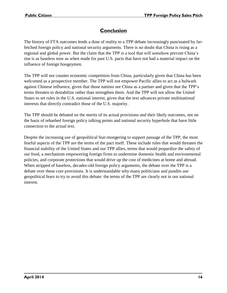### **Conclusion**

The history of FTA outcomes lends a dose of reality to a TPP debate increasingly punctuated by farfetched foreign policy and national security arguments. There is no doubt that China is rising as a regional and global power. But the claim that the TPP is a tool that will somehow prevent China's rise is as baseless now as when made for past U.S. pacts that have not had a material impact on the influence of foreign boogeymen.

The TPP will not counter economic competition from China, particularly given that China has been welcomed as a prospective member. The TPP will not empower Pacific allies to act as a bulwark against Chinese influence, given that those nations see China as a partner and given that the TPP's terms threaten to destabilize rather than strengthen them. And the TPP will not allow the United States to set rules in the U.S. national interest, given that the text advances private multinational interests that directly contradict those of the U.S. majority.

The TPP should be debated on the merits of its actual provisions and their likely outcomes, not on the basis of rehashed foreign policy talking points and national security hyperbole that have little connection to the actual text.

Despite the increasing use of geopolitical fear-mongering to support passage of the TPP, the most fearful aspects of the TPP are the terms of the pact itself. These include rules that would threaten the financial stability of the United States and our TPP allies, terms that would jeopardize the safety of our food, a mechanism empowering foreign firms to undermine domestic health and environmental policies, and corporate protections that would drive up the cost of medicines at home and abroad. When stripped of baseless, decades-old foreign policy arguments, the debate over the TPP is a debate over these core provisions. It is understandable why many politicians and pundits use geopolitical fears to try to avoid this debate: the terms of the TPP are clearly not in our national interest.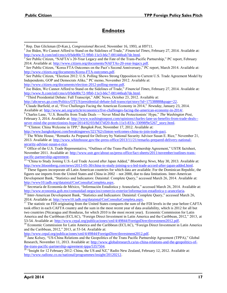#### **Endnotes**

[http://www.citizen.org/documents/election-2012-polling-memo.pdf.](http://www.citizen.org/documents/election-2012-polling-memo.pdf)

 $\frac{7}{7}$  "Third Presidential Debate: Full Transcript," ABC News, October 23, 2012. Available at: [http://abcnews.go.com/Politics/OTUS/presidential-debate-full-transcript/story?id=17538888&page=22.](http://abcnews.go.com/Politics/OTUS/presidential-debate-full-transcript/story?id=17538888&page=22)

<sup>8</sup> Claude Barfield, et al, "Five Challenges Facing the American Economy in 2014," *Newsday*, January 23, 2014. Available at[: http://www.aei.org/article/economics/five-challenges-facing-the-american-economy-in-2014/.](http://www.aei.org/article/economics/five-challenges-facing-the-american-economy-in-2014/)

<sup>9</sup> Charles Lane, "U.S. Benefits from Trade Deals — Never Mind the Protectionists' Hype," *The Washington Post*, February 3, 2014. Available at: [http://www.washingtonpost.com/opinions/charles-lane-us-benefits-from-trade-deals-](http://www.washingtonpost.com/opinions/charles-lane-us-benefits-from-trade-deals--never-mind-the-protectionists-hype/2014/02/03/8d374f20-8ceb-11e3-833c-33098f9e5267_story.html) [never-mind-the-protectionists-hype/2014/02/03/8d374f20-8ceb-11e3-833c-33098f9e5267\\_story.html.](http://www.washingtonpost.com/opinions/charles-lane-us-benefits-from-trade-deals--never-mind-the-protectionists-hype/2014/02/03/8d374f20-8ceb-11e3-833c-33098f9e5267_story.html) 

<sup>10</sup> "Clinton: China Welcome in TPP," *Bangkok Post*, November 17, 2012. Available at:

[http://www.bangkokpost.com/breakingnews/321762/clinton-welcomes-china-to-join-trade-pact.](http://www.bangkokpost.com/breakingnews/321762/clinton-welcomes-china-to-join-trade-pact)

<sup>11</sup> The White House, "Remarks As Prepared for Delivery by National Security Advisor Susan E. Rice," November 21, 2013. Available at[: http://www.whitehouse.gov/the-press-office/2013/11/21/remarks-prepared-delivery-national](http://www.whitehouse.gov/the-press-office/2013/11/21/remarks-prepared-delivery-national-security-advisor-susan-e-rice)[security-advisor-susan-e-rice.](http://www.whitehouse.gov/the-press-office/2013/11/21/remarks-prepared-delivery-national-security-advisor-susan-e-rice)

<sup>12</sup> Office of the U.S. Trade Representative, "Outlines of the Trans-Pacific Partnership Agreement," USTR factsheet, November 2011. Available at: [http://www.ustr.gov/about-us/press-office/fact-sheets/2011/november/outlines-trans](http://www.ustr.gov/about-us/press-office/fact-sheets/2011/november/outlines-trans-pacific-partnership-agreement)[pacific-partnership-agreement.](http://www.ustr.gov/about-us/press-office/fact-sheets/2011/november/outlines-trans-pacific-partnership-agreement) 

<sup>13</sup> "China to Study Joining U.S.-Led Trade Accord after Japan Added," *Bloomberg News*, May 30, 2013. Available at: [http://www.bloomberg.com/news/2013-05-30/china-to-study-joining-u-s-led-trade-accord-after-japan-added.html.](http://www.bloomberg.com/news/2013-05-30/china-to-study-joining-u-s-led-trade-accord-after-japan-added.html)

<sup>14</sup> These figures incorporate all Latin American countries for which data are available. For the Dominican Republic, the figures use imports from the United States and China in 2002 – not 2000, due to data limitations. Inter-American Development Bank, "Statistics and Indicaators: Dataintal: Complete Query," accessed March 26, 2014. Available at: [http://www10.iadb.org/dataintal/CnsConsultaCompleta.aspx.](http://www10.iadb.org/dataintal/CnsConsultaCompleta.aspx)

<sup>15</sup> Secretaría de Economía de México, "Información Estadística y Arancelaria," accessed March 26, 2014. Available at: [http://www.economia.gob.mx/comunidad-negocios/comercio-exterior/informacion-estadistica-y-arancelaria.](http://www.economia.gob.mx/comunidad-negocios/comercio-exterior/informacion-estadistica-y-arancelaria)

<sup>16</sup> Inter-American Development Bank, "Statistics and Indicaators: Dataintal: Complete Query," accessed March 26, 2014. Available at[: http://www10.iadb.org/dataintal/CnsConsultaCompleta.aspx.](http://www10.iadb.org/dataintal/CnsConsultaCompleta.aspx)

<sup>17</sup> The statistic on FDI originating from the United States compares the sum of the FDI levels in the year before CAFTA took effect in each CAFTA country and the sum in the most recent year of data availability, which is 2012 for all but two countries (Nicaragua and Honduras, for which 2010 is the most recent year). Economic Commission for Latin America and the Caribbean (ECLAC), "Foreign Direct Investment in Latin America and the Caribbean, 2012," 2013, at 53-54. Available at: [http://www.cepal.org/publicaciones/xml/4/49844/ForeignDirectInvestment2012.pdf.](http://www.cepal.org/publicaciones/xml/4/49844/ForeignDirectInvestment2012.pdf)

<sup>18</sup> Economic Commission for Latin America and the Caribbean (ECLAC), "Foreign Direct Investment in Latin America and the Caribbean, 2012," 2013, at 53-54. Available at:

[http://www.cepal.org/publicaciones/xml/4/49844/ForeignDirectInvestment2012.pdf.](http://www.cepal.org/publicaciones/xml/4/49844/ForeignDirectInvestment2012.pdf)

<sup>19</sup> Jane Kelsey, "US-China Relations and the Geopolitics of the Trans Pacific Partnership Agreement (TPPA)," Global Research, November 11, 2013. Available at: [http://www.globalresearch.ca/us-china-relations-and-the-geopolitics-of](http://www.globalresearch.ca/us-china-relations-and-the-geopolitics-of-the-trans-pacific-partnership-agreement-tppa/5357504)[the-trans-pacific-partnership-agreement-tppa/5357504.](http://www.globalresearch.ca/us-china-relations-and-the-geopolitics-of-the-trans-pacific-partnership-agreement-tppa/5357504)

<sup>20</sup> "Insight for 12 February 2012: China, the US and NZ," Radio New Zealand, February 12, 2012. Available at: [http://www.radionz.co.nz/national/programmes/insight/20120212.](http://www.radionz.co.nz/national/programmes/insight/20120212) 

 $\overline{a}$ <sup>1</sup> Rep. Dan Glickman (D-Kan.), *Congressional Record*, November 16, 1993, at H9711.

<sup>&</sup>lt;sup>2</sup> Joe Biden, We Cannot Afford to Stand on the Sidelines of Trade," *Financial Times*, February 27, 2014. Available at: [http://www.ft.com/intl/cms/s/0/bde80c72-9fb0-11e3-b6c7-00144feab7de.html.](http://www.ft.com/intl/cms/s/0/bde80c72-9fb0-11e3-b6c7-00144feab7de.html)

<sup>&</sup>lt;sup>3</sup> See Public Citizen, "NAFTA's 20-Year Legacy and the Fate of the Trans-Pacific Partnership," PC report, February 2014. Available at[: http://www.citizen.org/documents/NAFTAs-20-year-legacy.pdf.](http://www.citizen.org/documents/NAFTAs-20-year-legacy.pdf) 

<sup>&</sup>lt;sup>4</sup> See Public Citizen, "Korea FTA Outcomes on the Pact's Second Anniversary," PC report, March 2014. Available at: [http://www.citizen.org/documents/Korea-FTA-outcomes.pdf.](http://www.citizen.org/documents/Korea-FTA-outcomes.pdf) 

<sup>&</sup>lt;sup>5</sup> See Public Citizen, "Election 2012: U.S. Polling Shows Strong Opposition to Current U.S. Trade Agreement Model by Independents, GOP and Democrats Alike," PC memo, November 2012. Available at:

<sup>&</sup>lt;sup>6</sup> Joe Biden, We Cannot Afford to Stand on the Sidelines of Trade," *Financial Times*, February 27, 2014. Available at: [http://www.ft.com/intl/cms/s/0/bde80c72-9fb0-11e3-b6c7-00144feab7de.html.](http://www.ft.com/intl/cms/s/0/bde80c72-9fb0-11e3-b6c7-00144feab7de.html)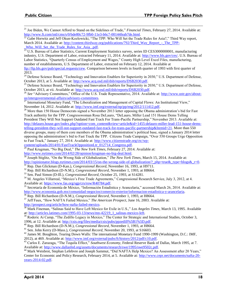**.** 

<sup>21</sup> Joe Biden, We Cannot Afford to Stand on the Sidelines of Trade," *Financial Times*, February 27, 2014. Available at: [http://www.ft.com/intl/cms/s/0/bde80c72-9fb0-11e3-b6c7-00144feab7de.html.](http://www.ft.com/intl/cms/s/0/bde80c72-9fb0-11e3-b6c7-00144feab7de.html)

Gabe Horwitz and Jeff Okun-Kozlowicki, "The TPP: Who Will Set the Trade Rules for Asia?," Third Way report, March 2014. Available at: [http://content.thirdway.org/publications/792/Third\\_Way\\_Report\\_-\\_The\\_TPP-](http://content.thirdway.org/publications/792/Third_Way_Report_-_The_TPP-_Who_Will_Set_the_Trade_Rules_for_Asia_.pdf) [\\_Who\\_Will\\_Set\\_the\\_Trade\\_Rules\\_for\\_Asia\\_.pdf.](http://content.thirdway.org/publications/792/Third_Way_Report_-_The_TPP-_Who_Will_Set_the_Trade_Rules_for_Asia_.pdf)

<sup>23</sup> U.S. Bureau of Labor Statistics, Current Employment Statistics survey, series ID CES3000000001, manufacturing industry, U.S. Department of Labor, extracted February 11, 2014. Available at: [http://www.bls.gov/ces/.](http://www.bls.gov/ces/) U.S. Bureau of Labor Statistics, "Quarterly Census of Employment and Wages," County High Level Excel Files, manufacturing, number of establishments, U.S. Department of Labor, extracted on February 12, 2014. Available at [ftp://ftp.bls.gov/pub/special.requests/cew.](ftp://ftp.bls.gov/pub/special.requests/cew) Comparison between levels in fourth quarter of 1993 with first quarter of 2013.

<sup>24</sup> Defense Science Board, "Technology and Innovation Enablers for Superiority in 2030," U.S. Department of Defense, October 2013, at 5. Available at: [http://www.acq.osd.mil/dsb/reports/DSB2030.pdf.](http://www.acq.osd.mil/dsb/reports/DSB2030.pdf)

<sup>25</sup> Defense Science Board, "Technology and Innovation Enablers for Superiority in 2030," U.S. Department of Defense, October 2013, at vii. Available at[: http://www.acq.osd.mil/dsb/reports/DSB2030.pdf.](http://www.acq.osd.mil/dsb/reports/DSB2030.pdf)

<sup>26</sup> See "Advisory Committees," Office of the U.S. Trade Representative, 2014. Available at: [http://www.ustr.gov/about](http://www.ustr.gov/about-us/intergovernmental-affairs/advisory-committees)us/intergovernmental-affairs/advisory-committees.

<sup>27</sup> International Monetary Fund, "The Liberalization and Management of Capital Flows: An Institutional View," November 14, 2012. Available at: [http://www.imf.org/external/np/pp/eng/2012/111412.pdf.](http://www.imf.org/external/np/pp/eng/2012/111412.pdf) 

<sup>28</sup> More than 150 House Democrats signed a November 2013 letter opposing the Obama administration's bid for Fast Track authority for the TPP. Congresswoman Rosa DeLauro, "DeLauro, Miller Lead 151 House Dems Telling President They Will Not Support Outdated Fast Track For Trans-Pacific Partnership," November 2013. Available at: [http://delauro.house.gov/index.php?option=com\\_content&view=article&id=1455:delauro-miller-lead-151-house-dems](http://delauro.house.gov/index.php?option=com_content&view=article&id=1455:delauro-miller-lead-151-house-dems-telling-president-they-will-not-support-outdated-fast-track-for-trans-pacific-partnership&Itemid=21)[telling-president-they-will-not-support-outdated-fast-track-for-trans-pacific-partnership&Itemid=21.](http://delauro.house.gov/index.php?option=com_content&view=article&id=1455:delauro-miller-lead-151-house-dems-telling-president-they-will-not-support-outdated-fast-track-for-trans-pacific-partnership&Itemid=21) More than 550 diverse groups, many of them core members of the Obama administration's political base, signed a January 2014 letter opposing the administration's bid to Fast Track the TPP. Citizens Trade Campaign, "Over 550 Groups Urge Opposition to Fast Track," January 27, 2014. Available at: [http://www.citizenstrade.org/ctc/wp](http://www.citizenstrade.org/ctc/wp-content/uploads/2014/01/FastTrackOppositionLtr_012714_Congress.pdf)[content/uploads/2014/01/FastTrackOppositionLtr\\_012714\\_Congress.pdf.](http://www.citizenstrade.org/ctc/wp-content/uploads/2014/01/FastTrackOppositionLtr_012714_Congress.pdf)

<sup>29</sup> Paul Krugman, "No Big Deal," *The New York Times*, February 27, 2014. Available at: [http://www.nytimes.com/2014/02/28/opinion/krugman-no-big-deal.html.](http://www.nytimes.com/2014/02/28/opinion/krugman-no-big-deal.html)

<sup>30</sup> Joseph Stiglitz, "On the Wrong Side of Globalization," *The New York Times*, March 15, 2014. Available at: [http://opinionator.blogs.nytimes.com/2014/03/15/on-the-wrong-side-of-globalization/?\\_php=true&\\_type=blogs&\\_r=0.](http://opinionator.blogs.nytimes.com/2014/03/15/on-the-wrong-side-of-globalization/?_php=true&_type=blogs&_r=0)

<sup>31</sup> Rep. Dan Glickman (D-Kan.), *Congressional Record*, November 16, 1993, at H9711.

<sup>32</sup> Rep. Bill Richardson (D-N.M.), *Congressional Record*, November 1, 1993, at H8664.

<sup>33</sup> Sen. Paul Simon (D-Ill.), *Congressional Record*, October 25, 1993, at S14281.

<sup>34</sup> M. Angeles Villarreal, "Mexico's Free Trade Agreements," Congressional Research Service, July 3, 2012, at 4. Available at[: https://www.fas.org/sgp/crs/row/R40784.pdf.](https://www.fas.org/sgp/crs/row/R40784.pdf)

<sup>35</sup> Secretaría de Economía de México, "Información Estadística y Arancelaria," accessed March 26, 2014. Available at: [http://www.economia.gob.mx/comunidad-negocios/comercio-exterior/informacion-estadistica-y-arancelaria.](http://www.economia.gob.mx/comunidad-negocios/comercio-exterior/informacion-estadistica-y-arancelaria)

<sup>36</sup> Rep. Bill Richardson (D-N.M.), *Congressional Record*, November 1, 1993, at H8664.

<sup>37</sup> Jeff Faux, "How NAFTA Failed Mexico," *The American Prospect*, June 16, 2003. Available at: [http://prospect.org/article/how-nafta-failed-mexico.](http://prospect.org/article/how-nafta-failed-mexico) 

<sup>38</sup> Mark Fineman, "Salinas Said to Have Left Mexico for Exile in U.S.," *Los Angeles Times*, March 13, 1995. Available at: http://articles.latimes.com/1995-03-13/news/mn-42219\_1\_salinas-mexico-left.

<sup>39</sup> Roderic Ai Camp, "The Zedillo Legacy in Mexico," The Center for Strategic and International Studies, October 3, 1996, at 12. Available at: [http://csis.org/files/media/csis/pubs/ppzedill%5B1%5D.pdf.](http://csis.org/files/media/csis/pubs/ppzedill%5B1%5D.pdf)

<sup>40</sup> Rep. Bill Richardson (D-N.M.), *Congressional Record*, November 1, 1993, at H8664.

<sup>41</sup> Sen. John Kerry (D-Mass.), *Congressional Record*, November 20, 1993, at S16603.

<sup>42</sup> James M. Boughton, Tearing Down Walls: The international Monetary Fund 1990-1999 (Washington, D.C.: IMF, 2012), at 469. Available at[: http://www.imf.org/external/pubs/ft/history/2012/pdf/c10.pdf.](http://www.imf.org/external/pubs/ft/history/2012/pdf/c10.pdf)

<sup>43</sup> Carlos E. Zarazaga, "The Tequila Effect," *Southwest Economy*, Federal Reserve Bank of Dallas, March 1995, at 7. Available at[: http://www.dallasfed.org/assets/documents/research/swe/1995/swe9502c.pdf.](http://www.dallasfed.org/assets/documents/research/swe/1995/swe9502c.pdf)

<sup>44</sup> Mark Weisbrot, Stephan Lefebvre and Joseph Sammut, "Did NAFTA Help Mexico? An Assessment after 20 Years," Center for Economic and Policy Research, February 2014, at 5. Available at: [http://www.cepr.net/documents/nafta-20](http://www.cepr.net/documents/nafta-20-years-2014-02.pdf) [years-2014-02.pdf.](http://www.cepr.net/documents/nafta-20-years-2014-02.pdf)